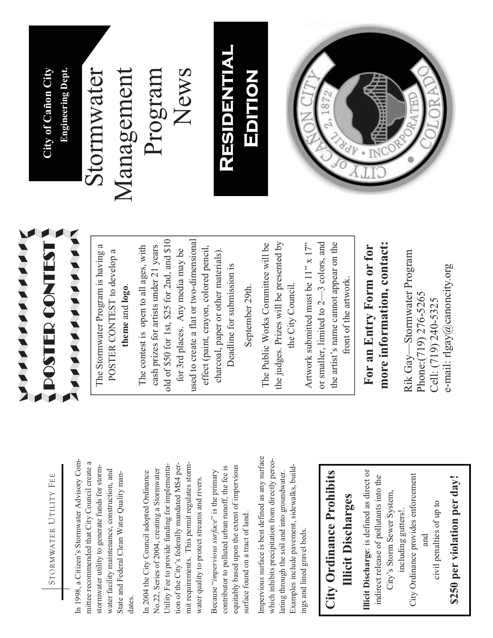

In 1998, a Citizen's Stormwater Advisory Com-In 1998, a Citizen's Stormwater Advisory Committee recommended that City Council create a mittee recommended that City Council create a stormwater utility to generate funds for stormstormwater utility to generate funds for stormwater facility maintenance, construction, and water facility maintenance, construction, and State and Federal Clean Water Quality man-State and Federal Clean Water Quality mandates.

tion of the City's federally mandated MS4 permit requirements. This permit regulates storm-Utility Fee to provide funding for implementation of the City's federally mandated MS4 permit requirements. This permit regulates storm-Utility Fee to provide funding for implementa-No.22, Series of 2004, creating a Stormwater No.22, Series of 2004, creating a Stormwater In 2004 the City Council adopted Ordinance In 2004 the City Council adopted Ordinance water quality to protect streams and rivers. water quality to protect streams and rivers.

equitably based upon the extent of impervious equitably based upon the extent of impervious contributor to polluted urban runoff, the fee is contributor to polluted urban runoff, the fee is Because "*impervious surface*" is the primary Because "impervious surface" is the primary surface found on a tract of land. surface found on a tract of land.

Impervious surface is best defined as any surface Impervious surface is best defined as any surface which inhibits precipitation from directly percowhich inhibits precipitation from directly perco-Examples include pavement, sidewalks, build-Examples include pavement, sidewalks, buildlating through the soil and into groundwater. lating through the soil and into groundwater. ings and lined gravel beds. ings and lined gravel beds.

#### **City Ordinance Prohibits**  City Ordinance Prohibits **Illicit Discharges Illicit Discharges**

**Illicit Discharge**: is defined as direct or Illicit Discharge: is defined as direct or City Ordinance provides enforcement indirect release of pollutants into the indirect release of pollutants into the City Ordinance provides enforcement City's Storm Sewer System, City's Storm Sewer System, civil penalties of up to civil penalties of up to including gutters!. including gutters!. and

# \$250 per violation per day! **\$250 per violation per day!**



The Stormwater Program is having a The Stormwater Program is having a POSTER CONTEST to develop a POSTER CONTEST to develop a **theme** and **logo**. theme and logo.

old of \$50 for 1st, \$25 for 2nd, and \$10 used to create a flat or two-dimensional old of \$50 for 1st, \$25 for 2nd, and \$10 used to create a flat or two-dimensional The contest is open to all ages, with cash prizes for artists under 21 years cash prizes for artists under 21 years effect (paint, crayon, colored pencil, The contest is open to all ages, with for 3rd places. Any media may be for 3rd places. Any media may be effect (paint, crayon, colored pencil, charcoal, paper or other materials). charcoal, paper or other materials). Deadline for submission is Deadline for submission is

September 29th. September 29th.

the judges. Prizes will be presented by The Public Works Committee will be The Public Works Committee will be the judges. Prizes will be presented by the City Council. the City Council.

Artwork submitted must be 11" x 17" or smaller, limited to 2—3 colors, and the artist's name cannot appear on the the artist's name cannot appear on the Artwork submitted must be  $11"$  x  $17"$ or smaller, limited to  $2-3$  colors, and front of the artwork. front of the artwork.

### **more information, contact:**  more information, contact: **For an Entry Form or for**  For an Entry Form or for

Rik Gay—Stormwater Program Rik Gay-Stormwater Program e-mail: rlgay@canoncity.org e-mail: rlgay@canoncity.org Phone:(719) 276-5265 Phone:(719) 276-5265 Cell: (719) 240-5325 Cell: (719) 240-5325

ST **City of Cañon City Engineering Dept.**  City of Cañon City **Engineering Dept.** 

## Stormwater Stormwater

Management News Management Program

#### **Residential Residential Residential**  RESIDENTIAL EDITION **Edition**